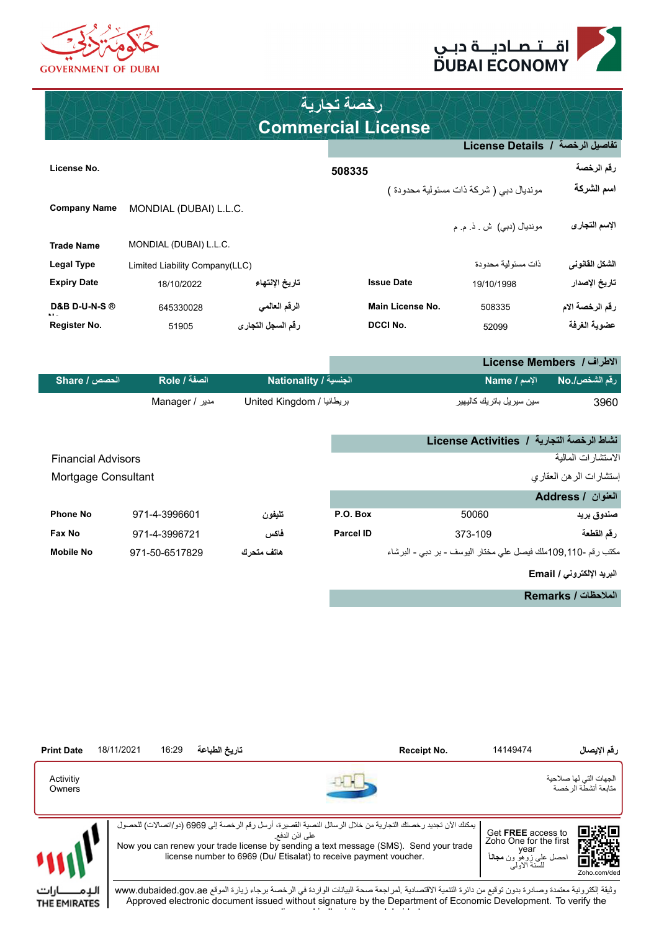



THE EMIRATES

### **Commercial License رخصة تجارية**

|                          |                                |                   |                   | تفاصيل الرخصة  /  License Details       |                 |
|--------------------------|--------------------------------|-------------------|-------------------|-----------------------------------------|-----------------|
| License No.              |                                |                   | 508335            |                                         | رقم الرخصة      |
|                          |                                |                   |                   | مونديال دبي ( شركة ذات مسئولية محدودة ) | اسم الشركة      |
| <b>Company Name</b>      | MONDIAL (DUBAI) L.L.C.         |                   |                   |                                         |                 |
|                          |                                |                   |                   | مونديال (دبي) ش . ذ م م                 | الإسم التجارى   |
| <b>Trade Name</b>        | MONDIAL (DUBAI) L.L.C.         |                   |                   |                                         |                 |
| Legal Type               | Limited Liability Company(LLC) |                   |                   | ذات مسئو لية محدودة                     | الشكل الفانوني  |
| <b>Expiry Date</b>       | 18/10/2022                     | تاريخ الإنتهاء    | <b>Issue Date</b> | 19/10/1998                              | تاريخ الإصدار   |
| <b>D&amp;B D-U-N-S ®</b> | 645330028                      | الرقم العالمي     | Main License No.  | 508335                                  | رقم الرخصة الام |
| Register No.             | 51905                          | رقم السجل التجارى | <b>DCCI No.</b>   | 52099                                   | عضوية الغرفة    |

|               |                |                           | الاطراف / License Members |               |
|---------------|----------------|---------------------------|---------------------------|---------------|
| الحصص / Share | الصفة / Role   | ا الجنسية / Nationality   | الاسم / Name              | رقم الشخص/.No |
|               | مدیر / Manager | بريطانيا / United Kingdom | سین سیریل باتریك كالیهیر  | 3960          |

|                           |                |             |           |                                                               | نشاط الرخصة التجارية / License Activities |
|---------------------------|----------------|-------------|-----------|---------------------------------------------------------------|-------------------------------------------|
| <b>Financial Advisors</b> |                |             |           |                                                               | الاستشار ات المالية                       |
| Mortgage Consultant       |                |             |           |                                                               | إستشارات الرهن العقاري                    |
|                           |                |             |           |                                                               | العنوان / Address                         |
| <b>Phone No</b>           | 971-4-3996601  | تليفون      | P.O. Box  | 50060                                                         | صندوق بريد                                |
| Fax No                    | 971-4-3996721  | فاكس        | Parcel ID | 373-109                                                       | رقم القطعة                                |
| <b>Mobile No</b>          | 971-50-6517829 | هاتف متحر ك |           | مكتب رقم -110,110ملك فيصل على مختار اليوسف - بر دبي - البرشاء |                                           |
|                           |                |             |           |                                                               | البريد الإلكتروني / Email                 |

**الملحظات / Remarks**



 وثيقة إلكترونية معتمدة وصادرة بدون توقيع من دائرة التنمية القتصادية .لمراجعة صحة البيانات الواردة في الرخصة برجاء زيارة الموقع ae.gov.dubaided.www Approved electronic document issued without signature by the Department of Economic Development. To verify the license kindly visit www.dubaided.gov.ae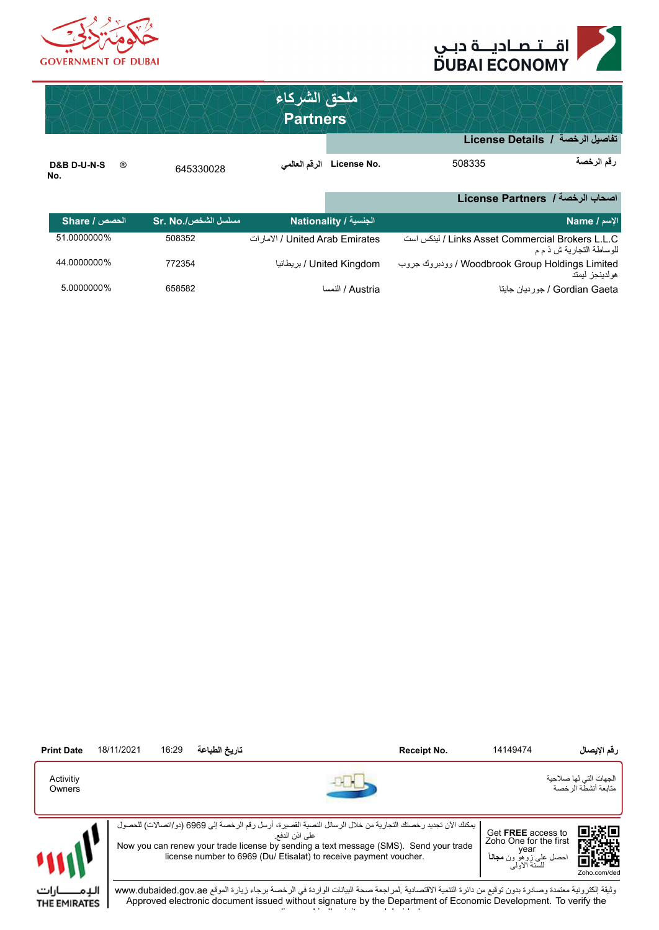



|                                                 |                     | ملحق الشركاء<br><b>Partners</b>  |                            |                                                  |                          |
|-------------------------------------------------|---------------------|----------------------------------|----------------------------|--------------------------------------------------|--------------------------|
|                                                 |                     |                                  |                            | تفاصيل الرخصة / License Details                  |                          |
| <b>D&amp;B D-U-N-S</b><br>$^{\circledR}$<br>No. | 645330028           |                                  | .License No الرفَم العالمي | 508335                                           | رقم الرخصة               |
|                                                 |                     |                                  |                            | اصحاب الرخصة / License Partners                  |                          |
| الحصص / Share                                   | مسلسل الشخص/.Sr. No |                                  | الجنسية / Nationality      |                                                  | الإسم / Name             |
| 51.0000000%                                     | 508352              | الإمار ات / United Arab Emirates |                            | Links Asset Commercial Brokers L.L.C / لينكس است | للوساطة التجارية ش ذ م م |

| LINKS ASSet Commercial Brokers L.L.C / لينكس است | الأمار أت / United Arab Emirates / الأمار أت | 508352 | <b>DILUUUUUU 70</b> |
|--------------------------------------------------|----------------------------------------------|--------|---------------------|
| للوساطة التجارية ش ذ م م                         |                                              |        |                     |
| Woodbrook Group Holdings Limited / رودبروك جروب  | ا بر يطانيا / United Kinadom                 | 772354 | 44.0000000%         |
| هو لدينجز اليمتد                                 |                                              |        |                     |
| Gordian Gaeta / جورديان جايتا                    | النمسا / Austria                             | 658582 | 5.0000000%          |

| <b>Print Date</b>    | 18/11/2021 | 16:29 | تاريخ الطباعة | Receipt No.                                                                                                                                                                                                                                                                                 | 14149474                                                                                              | رقم الإيصال                                    |
|----------------------|------------|-------|---------------|---------------------------------------------------------------------------------------------------------------------------------------------------------------------------------------------------------------------------------------------------------------------------------------------|-------------------------------------------------------------------------------------------------------|------------------------------------------------|
| Activitiy<br>Owners  |            |       |               |                                                                                                                                                                                                                                                                                             |                                                                                                       | الجهات التي لها صلاحية<br>متابعة أنشطة الرخصية |
|                      |            |       |               | يمكنك الآن تجديد رخصتك التجارية من خلال الرسائل النصية القصيرة، أرسل رقم الرخصة إلى 6969 (دو/اتصالات) للحصول<br>علے اذن الدفع<br>Now you can renew your trade license by sending a text message (SMS). Send your trade<br>license number to 6969 (Du/ Etisalat) to receive payment voucher. | Get FREE access to<br>Zoho One for the first<br>vear<br>حصل علي زوهو ون <b>مجانـا</b><br>للسنة الاولى | 回送窗口<br>Ķц.<br>Zoho.com/ded                    |
| ارات<br>THE EMIRATES |            |       |               | وثيقة الكترونية معتمدة وصادرة بدون توقيع من دائرة التتمية الاقتصادية ـلمراجعة صحة البيانات الواردة في الرخصة برجاء زيارة الموقع www.dubaided.gov.ae<br>Approved electronic document issued without signature by the Department of Economic Development. To verify the                       |                                                                                                       |                                                |

Approved electronic document issued without signature by the Department of Economic Development. To verify the license kindly visit www.dubaided.gov.ae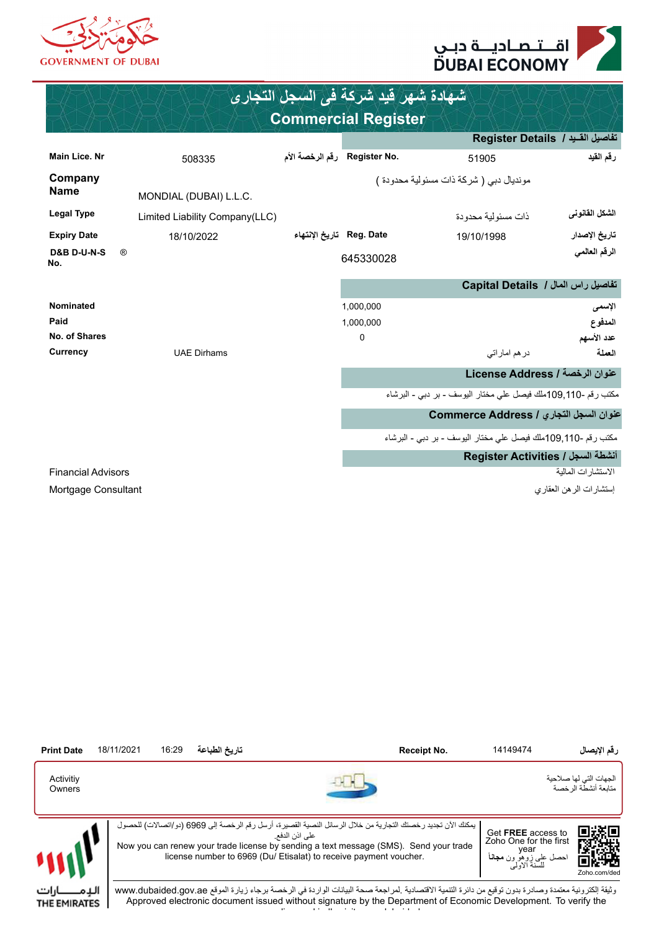



| شهادة شهر فيد شركة في السجل التجاري |                                |                            |                              |                                                                 |                      |  |  |  |
|-------------------------------------|--------------------------------|----------------------------|------------------------------|-----------------------------------------------------------------|----------------------|--|--|--|
| <b>Commercial Register</b>          |                                |                            |                              |                                                                 |                      |  |  |  |
|                                     |                                |                            |                              | تفاصيل القيد / Register Details                                 |                      |  |  |  |
| <b>Main Lice, Nr</b>                | 508335                         |                            | .Register No رقم الرخصة الأم | 51905                                                           | رقم القيد            |  |  |  |
| Company<br><b>Name</b>              | MONDIAL (DUBAI) L.L.C.         |                            |                              | مونديال دبي ( شركة ذات مسئولية محدودة )                         |                      |  |  |  |
| <b>Legal Type</b>                   | Limited Liability Company(LLC) |                            |                              | ذات مسئو لية محدودة                                             | الشكل القانوني       |  |  |  |
| <b>Expiry Date</b>                  | 18/10/2022                     | Reg. Date   تاريخ الإنتهاء |                              | 19/10/1998                                                      | تاريخ الإصدار        |  |  |  |
| <b>D&amp;B D-U-N-S</b><br>No.       | $^{\circledR}$                 |                            | 645330028                    |                                                                 | الرقم العالمي        |  |  |  |
|                                     |                                |                            |                              | تفاصيل راس المال / Capital Details                              |                      |  |  |  |
| <b>Nominated</b>                    |                                |                            | 1,000,000                    |                                                                 | الإسمى               |  |  |  |
| Paid<br>No. of Shares               |                                |                            | 1,000,000<br>$\mathbf 0$     |                                                                 | المدفوع              |  |  |  |
| Currency                            | <b>UAE Dirhams</b>             |                            |                              | در هم امار اتی                                                  | عدد الأسهم<br>العملة |  |  |  |
|                                     |                                |                            |                              | عنوان الرخصة / License Address                                  |                      |  |  |  |
|                                     |                                |                            |                              | مكتب رقم -110,9,110ملك فيصل على مختار اليوسف - بر دبي - البرشاء |                      |  |  |  |
|                                     |                                |                            |                              | عنوان السجل التجاري / Commerce Address                          |                      |  |  |  |
|                                     |                                |                            |                              | مكتب رقع -110,9,110ملك فيصل على مختار اليوسف - بر دبي - البرشاء |                      |  |  |  |
|                                     |                                |                            |                              | Register Activities / انشطة السجل                               |                      |  |  |  |
| <b>Financial Advisors</b>           |                                |                            |                              |                                                                 | الاستشار ات المالية  |  |  |  |
| Mortgage Consultant                 |                                |                            |                              | إستشارات الرهن العقارى                                          |                      |  |  |  |



license kindly visit www.dubaided.gov.ae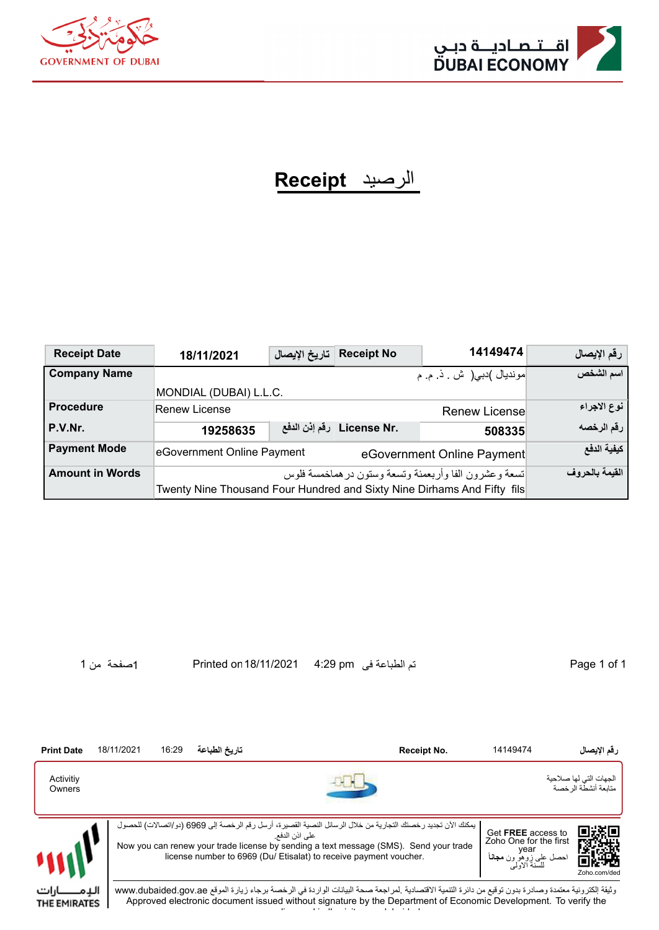



## الرصيد **Receipt**

| <b>Receipt Date</b>    | 18/11/2021                 | تاريخ الإيصال                                                                                                                     | <b>Receipt No</b>               | 14149474                    | رقم الإيصال |  |  |
|------------------------|----------------------------|-----------------------------------------------------------------------------------------------------------------------------------|---------------------------------|-----------------------------|-------------|--|--|
| <b>Company Name</b>    |                            |                                                                                                                                   |                                 | مونديال )دبي( ش ِ ذ ِ م ِ م | اسم الشخص   |  |  |
|                        | MONDIAL (DUBAI) L.L.C.     |                                                                                                                                   |                                 |                             |             |  |  |
| <b>Procedure</b>       | <b>Renew License</b>       |                                                                                                                                   |                                 | <b>Renew Licensel</b>       | نوع الاجراء |  |  |
| P.V.Nr.                | 19258635                   |                                                                                                                                   | .License Nr   رفَّم إذن الدفَّع | 508335                      | رقم الرخصه  |  |  |
| <b>Payment Mode</b>    | eGovernment Online Payment |                                                                                                                                   |                                 | eGovernment Online Payment  | كيفية الدفع |  |  |
| <b>Amount in Words</b> |                            | القيمة بالحروف                                                                                                                    |                                 |                             |             |  |  |
|                        |                            | اتسعة وعشرون الفا وأربعمئة وتسعة وسنون در هماخمسة فلوس<br>Twenty Nine Thousand Four Hundred and Sixty Nine Dirhams And Fifty fils |                                 |                             |             |  |  |

1 of 1 Page تم الطباعة فى pm 4:29 18/11/2021on Printed 1صفحة من 1

license kindly visit www.dubaided.gov.ae

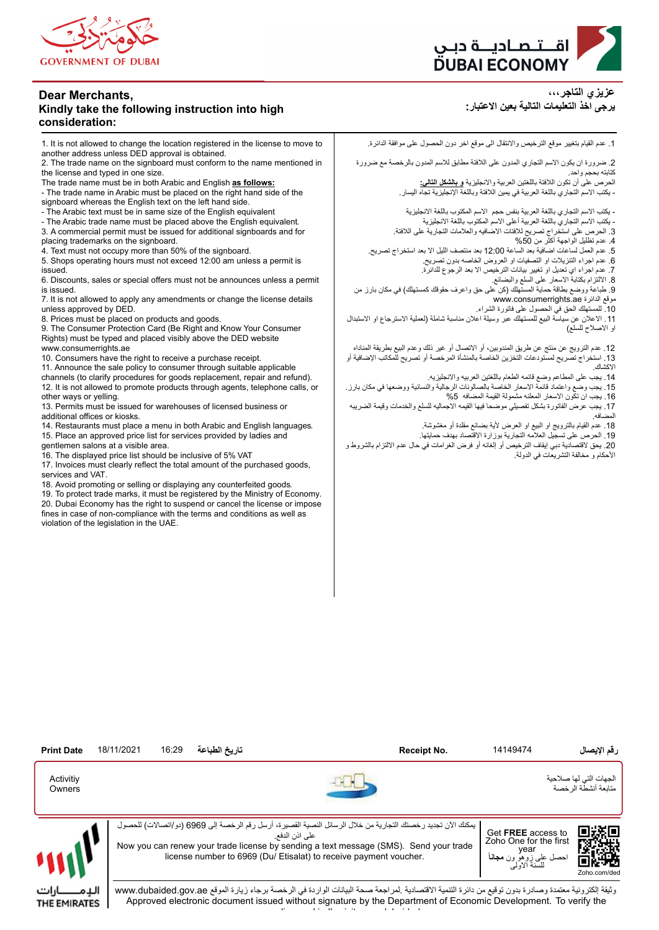

#### **Dear Merchants, Kindly take the following instruction into high consideration:**

1. It is not allowed to change the location registered in the license to move to another address unless DED approval is obtained.

2. The trade name on the signboard must conform to the name mentioned in the license and typed in one size.

The trade name must be in both Arabic and English **as follows:**

- The trade name in Arabic must be placed on the right hand side of the

signboard whereas the English text on the left hand side. - The Arabic text must be in same size of the English equivalent

- The Arabic trade name must be placed above the English equivalent.

3. A commercial permit must be issued for additional signboards and for

placing trademarks on the signboard.

4. Text must not occupy more than 50% of the signboard.

5. Shops operating hours must not exceed 12:00 am unless a permit is issued.

6. Discounts, sales or special offers must not be announces unless a permit is issued.

7. It is not allowed to apply any amendments or change the license details unless approved by DED.

8. Prices must be placed on products and goods.

9. The Consumer Protection Card (Be Right and Know Your Consumer Rights) must be typed and placed visibly above the DED website www.consumerrights.ae

10. Consumers have the right to receive a purchase receipt.

11. Announce the sale policy to consumer through suitable applicable channels (to clarify procedures for goods replacement, repair and refund). 12. It is not allowed to promote products through agents, telephone calls, or other ways or yelling.

13. Permits must be issued for warehouses of licensed business or additional offices or kiosks.

14. Restaurants must place a menu in both Arabic and English languages. 15. Place an approved price list for services provided by ladies and

gentlemen salons at a visible area. 16. The displayed price list should be inclusive of 5% VAT

THE EMIRATES

17. Invoices must clearly reflect the total amount of the purchased goods, services and VAT.

18. Avoid promoting or selling or displaying any counterfeited goods.

19. To protect trade marks, it must be registered by the Ministry of Economy. 20. Dubai Economy has the right to suspend or cancel the license or impose fines in case of non-compliance with the terms and conditions as well as violation of the legislation in the UAE.



**عزيزي التاجر،،، يرجى اخذ التعليمات التالية بعين العتبار:**

.1 عدم القيام بتغيير موقع الترخيص والنتقال الى موقع اخر دون الحصول على موافقة الدائرة.

.2 ضرورة ان يكون السم التجاري المدون على اللفتة مطابق للسم المدون بالرخصة مع ضرورة كتابته بحجم واحد.

الحرص على أن تكون اللفتة باللغتين العربية والنجليزية **و بالشكل التالي:** - يكتب السم التجاري باللغة العربية في يمين اللفتة وباللغة النجليزية تجاه اليسار.

- يكتب السم التجاري باللغة العربية بنفس حجم السم المكتوب باللغة النجليزية - يكتب السم التجاري باللغة العربية أعلى السم المكتوب باللغة النجليزية

.3 الحرص على استخراج تصريح للفتات الضافيه والعلمات التجارية على اللفتة.

.4 عدم تظليل الواجهة أكثر من %50

.5 عدم العمل لساعات اضافية بعد الساعة 12:00 بعد منتصف الليل ال بعد استخراج تصريح.

.6 عدم اجراء التنزيلت او التصفيات او العروض الخاصه بدون تصريح.

.7 عدم اجراء اي تعديل او تغيير بيانات الترخيص ال بعد الرجوع للدائرة.

.8 اللتزام بكتابة السعار على السلع والبضائع.

.9 طباعة ووضع بطاقة حماية المستهلك )كن على حق واعرف حقوقك كمستهلك( في مكان بارز من www.consumerrights.ae الدائرة موقع

.10 للمستهلك الحق في الحصول على فاتورة الشراء.

11 ـ الاعلان عن سياسة البيع للمستهلك عبر وسيلة اعلان مناسبة شاملة (لعملية الاسترجاع او الاستبدال او الصلح للسلع(

.12 عدم الترويج عن منتج عن طريق المندوبين، أو التصال أو غير ذلك وعدم البيع بطريقة المناداه .13 استخراج تصريح لمستودعات التخزين الخاصة بالمنشأة المرخصة أو تصريح للمكاتب الضافية أو الكشاك.

.14 يجب على المطاعم وضع قائمه الطعام باللغتين العربيه والنجليزيه.

.15 يجب وضع واعتماد قائمة السعار الخاصة بالصالونات الرجالية والنسائية ووضعها في مكان بارز. .16 يجب ان تكون السعار المعلنه مشمولة القيمة المضافه %5

.17 يجب عرض الفاتورة بشكل تفصيلي موضحا فيها القيمه الجماليه للسلع والخدمات وقيمة الضريبه المضافه.

18 ـ عدم القيام بالترويج او البيع او العرض لأية بضائع مقلدة أو مغشوشة.

.19 الحرص على تسجيل العلمه التجارية بوزارة القتصاد بهدف حمايتها.

.20 يحق لقتصادية دبي إيقاف الترخيص أو إلغائه أو فرض الغرامات في حال عدم اللتزام بالشروط و الحكام و مخالفة التشريعات في الدولة.



Approved electronic document issued without signature by the Department of Economic Development. To verify the license kindly visit www.dubaided.gov.ae